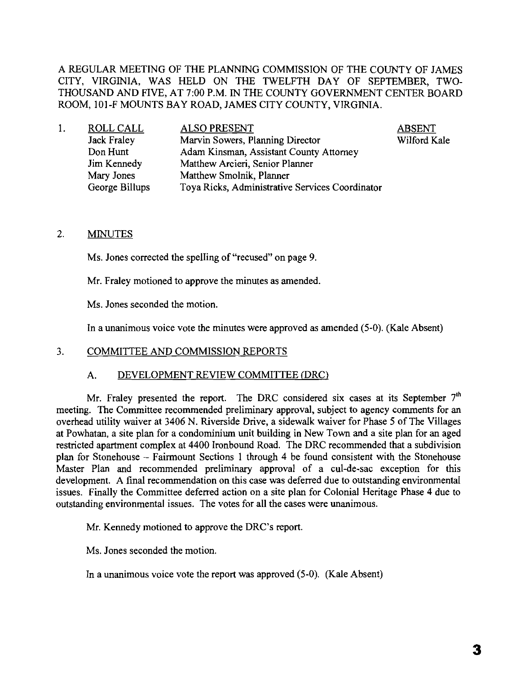A REGULAR MEETING OF THE PLANNING COMMISSION OF THE COUNTY OF JAMES CITY, VIRGINIA, WAS HELD ON THE TWELFTH DAY OF SEPTEMBER, TWO-THOUSAND AND FIVE, AT 7:00 P.M. IN THE COUNTY GOVERNMENT CENTER BOARD ROOM, IOl-F MOUNTS BAY ROAD, JAMES CITY COUNTY, VIRGINIA.

| ROLL CALL      | <b>ALSO PRESENT</b>                             | <b>ABSENT</b> |
|----------------|-------------------------------------------------|---------------|
| Jack Fraley    | Marvin Sowers, Planning Director                | Wilford Kale  |
| Don Hunt       | Adam Kinsman, Assistant County Attorney         |               |
| Jim Kennedy    | Matthew Arcieri, Senior Planner                 |               |
| Mary Jones     | Matthew Smolnik, Planner                        |               |
| George Billups | Toya Ricks, Administrative Services Coordinator |               |
|                |                                                 |               |

### 2. MINUTES

Ms. Jones corrected the spelling of "recused" on page 9.

Mr. Fraley motioned to approve the minutes as amended.

Ms. Jones seconded the motion.

In a unanimous voice vote the minutes were approved as amended (5-0). (Kale Absent)

#### 3. COMMITTEE AND COMMISSION REPORTS

#### A. DEVELOPMENT REVIEW COMMITTEE (DRC)

Mr. Fraley presented the report. The DRC considered six cases at its September  $7<sup>th</sup>$ meeting. The Committee recommended preliminary approval, subject to agency comments for an overhead utility waiver at 3406 N. Riverside Drive, a sidewalk waiver for Phase 5 of The Villages at Powhatan, a site plan for a condominium unit building in New Town and a site plan for an aged restricted apartment complex at 4400 Ironbound Road. The DRC recommended that a subdivision plan for Stonehouse - Fairmount Sections I through 4 be found consistent with the Stonehouse Master Plan and recommended preliminary approval of a cul-de-sac exception for this development. A final recommendation on this case was deferred due to outstanding environmental issues. Finally the Committee deferred action on a site plan for Colonial Heritage Phase 4 due to outstanding environmental issues. The votes for all the cases were unanimous.

Mr. Kennedy motioned to approve the DRC's report.

Ms. Jones seconded the motion.

In a unanimous voice vote the report was approved (5-0). (Kale Absent)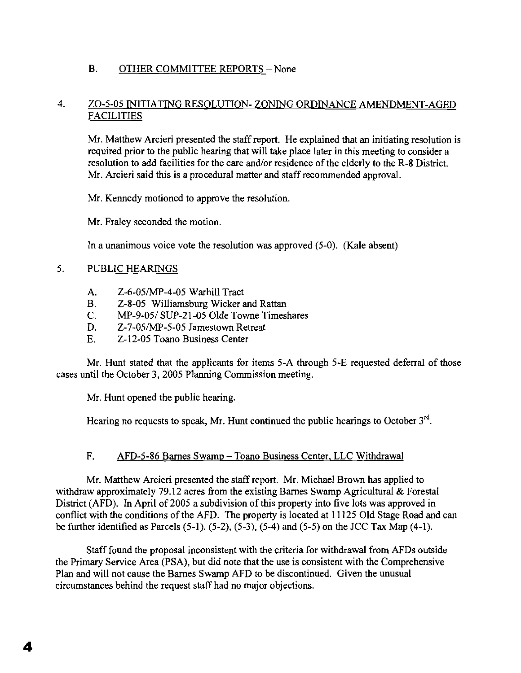# B. OTHER COMMITTEE REPORTS - None

## 4. ZO-5-05 INITIATING RESOLUTION- ZONING ORDINANCE AMENDMENT-AGED FACILITIES

Mr. Matthew Arcieri presented the staff report. He explained that an initiating resolution is required prior to the public hearing that will take place later in this meeting to consider a resolution to add facilities for the care and/or residence of the elderly to the R-8 District. Mr. Arcieri said this is a procedural matter and staff recommended approval.

Mr. Kennedy motioned to approve the resolution.

Mr. Fraley seconded the motion.

In a unanimous voice vote the resolution was approved  $(5-0)$ . (Kale absent)

## 5. PUBLIC HEARINGS

- A. Z-6-05/MP-4-05 Warhill Tract
- B. Z-8-05 Williamsburg Wicker and Rattan
- C. MP-9-05/ SUP-21-05 Olde Towne Timeshares
- D. Z-7-05/MP-5-05 Jamestown Retreat
- E. Z-12-05 Toano Business Center

Mr. Hunt stated that the applicants for items 5-A through 5-E requested deferral of those cases until the October 3, 2005 Planning Commission meeting.

Mr. Hunt opened the public hearing.

Hearing no requests to speak, Mr. Hunt continued the public hearings to October  $3^{rd}$ .

## F. AFD-5-86 Barnes Swamp - Toano Business Center, LLC Withdrawal

Mr. Matthew Arcieri presented the staff report. Mr. Michael Brown has applied to withdraw approximately 79.12 acres from the existing Barnes Swamp Agricultural & Forestal District (AFD). In April of 2005 a subdivision of this property into five lots was approved in conflict with the conditions of the AFD. The property is located at 11125 Old Stage Road and can be further identified as Parcels (5-1), (5-2), (5-3), (5-4) and (5-5) on the JCC Tax Map (4-1).

Stafffound the proposal inconsistent with the criteria for withdrawal from AFDs outside the Primary Service Area (PSA), but did note that the use is consistent with the Comprehensive Plan and will not cause the Barnes Swamp AFD to be discontinued. Given the unusual circumstances behind the request staff had no major objections.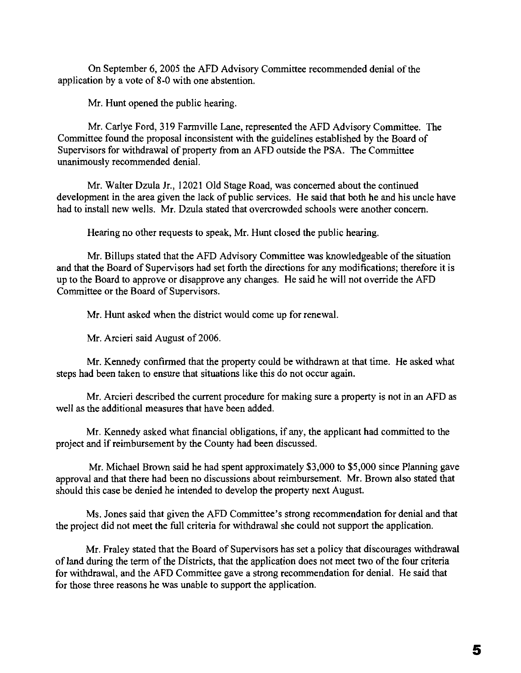On September 6, 2005 the AFD Advisory Committee recommended denial of the application by a vote of 8-0 with one abstention.

Mr. Hunt opened the public hearing.

Mr. Carlye Ford, 319 Farmville Lane, represented the AFD Advisory Committee. The Committee found the proposal inconsistent with the guidelines established by the Board of Supervisors for withdrawal of property from an AFD outside the PSA. The Committee unanimously recommended denial.

Mr. Walter Dzula Jr., 12021 Old Stage Road, was concerned about the continued development in the area given the lack of public services. He said that both he and his uncle have had to install new wells. Mr. Dzula stated that overcrowded schools were another concern.

Hearing no other requests to speak, Mr. Hunt closed the public hearing.

Mr. Billups stated that the AFD Advisory Committee was knowledgeable of the situation and that the Board of Supervisors had set forth the directions for any modifications; therefore it is up to the Board to approve or disapprove any changes. He said he will not override the AFD Committee or the Board of Supervisors.

Mr. Hunt asked when the district would come up for renewal.

Mr. Arcieri said August of 2006.

Mr. Kennedy confirmed that the property could be withdrawn at that time. He asked what steps had been taken to ensure that situations like this do not occur again.

Mr. Arcieri described the current procedure for making sure a property is not in an AFD as well as the additional measures that have been added.

Mr. Kennedy asked what financial obligations, if any, the applicant had committed to the project and if reimbursement by the County had been discussed.

Mr. Michael Brown said he had spent approximately \$3,000 to \$5,000 since Planning gave approval and that there had been no discussions about reimbursement. Mr. Brown also stated that should this case be denied he intended to develop the property next August.

Ms. Jones said that given the AFD Committee's strong recommendation for denial and that the project did not meet the full criteria for withdrawal she could not support the application.

Mr. Fraley stated that the Board of Supervisors has set a policy that discourages withdrawal of land during the term of the Districts, that the application does not meet two of the four criteria for withdrawal, and the AFD Committee gave a strong recommendation for denial. He said that for those three reasons he was unable to support the application.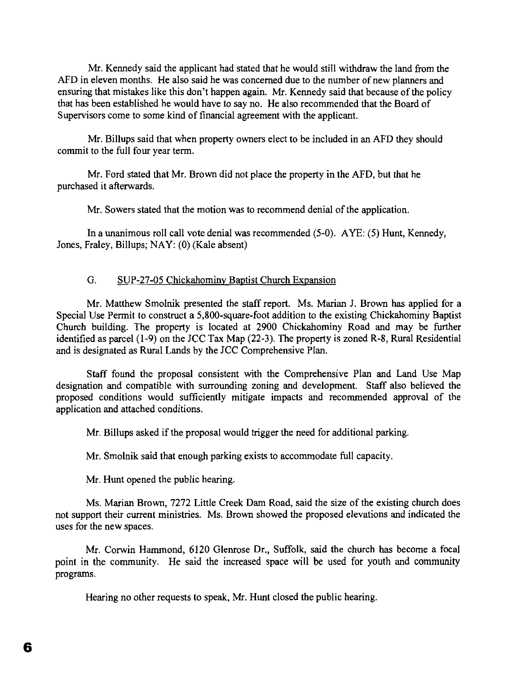Mr. Kennedy said the applicant had stated that he would still withdraw the land from the AFD in eleven months. He also said he was concerned due to the number of new planners and ensuring that mistakes like this don't happen again. Mr. Kennedy said that because of the policy that has been established he would have to say no. He also recommended that the Board of Supervisors come to some kind of financial agreement with the applicant.

Mr. Billups said that when property owners elect to be included in an AFD they should commit to the full four year term.

Mr. Ford stated that Mr. Brown did not place the property in the AFD, but that he purchased it afterwards.

Mr. Sowers stated that the motion was to recommend denial of the application.

In a unanimous roll call vote denial was recommended (5-0). AYE: (5) Hunt, Kennedy, Jones, Fraley, Billups; NAY: (0) (Kale absent)

# G. SUP-27-05 Chickahominy Baptist Church Expansion

Mr. Matthew Smolnik presented the staff report. Ms. Marian J. Brown has applied for a Special Use Permit to construct a 5,800-square-foot addition to the existing Chickahominy Baptist Church building. The property is located at 2900 Chickahominy Road and may be further identified as parcel (1-9) on the JCC Tax Map (22-3). The property is zoned R-8, Rural Residential and is designated as Rural Lands by the JCC Comprehensive Plan.

Staff found the proposal consistent with the Comprehensive Plan and Land Use Map designation and compatible with surrounding zoning and development. Staff also believed the proposed conditions would sufficiently mitigate impacts and recommended approval of the application and attached conditions.

Mr. Billups asked if the proposal would trigger the need for additional parking.

Mr. Smolnik said that enough parking exists to accommodate full capacity.

Mr. Hunt opened the public hearing.

Ms. Marian Brown, 7272 Little Creek Dam Road, said the size of the existing church does not support their current ministries. Ms. Brown showed the proposed elevations and indicated the uses for the new spaces.

Mr. Corwin Hammond, 6120 Glenrose Dr., Suffolk, said the church has become a focal point in the community. He said the increased space will be used for youth and community programs.

Hearing no other requests to speak, Mr. Hunt closed the public hearing.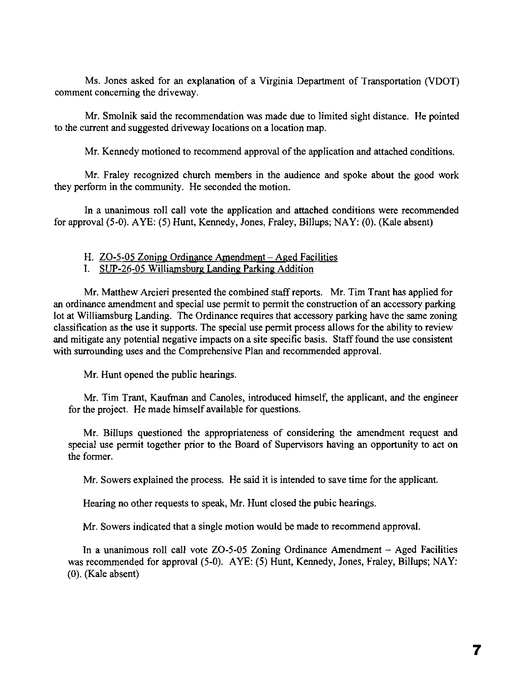Ms. Jones asked for an explanation of a Virginia Department of Transportation (VDOT) comment concerning the driveway.

Mr. Smolnik said the recommendation was made due to limited sight distance. He pointed to the current and suggested driveway locations on a location map.

Mr. Kennedy motioned to recommend approval of the application and attached conditions.

Mr. Fraley recognized church members in the audience and spoke about the good work they perform in the community. He seconded the motion.

In a unanimous roll call vote the application and attached conditions were recommended for approval (5-0). AYE: (5) Hunt, Kennedy, Jones, Fraley, Billups; NAY: (0). (Kale absent)

#### H. ZO-5-05 Zoning Ordinance Amendment - Aged Facilities

I. SUP-26-05 Williamsburg Landing Parking Addition

Mr. Matthew Arcieri presented the combined staff reports. Mr. Tim Trant has applied for an ordinance amendment and special use permit to permit the construction of an accessory parking lot at Williamsburg Landing. The Ordinance requires that accessory parking have the same zoning classification as the use it supports. The special use permit process allows for the ability to review and mitigate any potential negative impacts on a site specific basis. Staff found the use consistent with surrounding uses and the Comprehensive Plan and recommended approval.

Mr. Hunt opened the public hearings.

Mr. Tim Trant, Kaufman and Canoles, introduced himself, the applicant, and the engineer for the project. He made himself available for questions.

Mr. Billups questioned the appropriateness of considering the amendment request and special use permit together prior to the Board of Supervisors having an opportunity to act on the former.

Mr. Sowers explained the process. He said it is intended to save time for the applicant.

Hearing no other requests to speak, Mr. Hunt closed the pubic hearings.

Mr. Sowers indicated that a single motion would be made to recommend approval.

In a unanimous roll call vote  $ZO-5-05$  Zoning Ordinance Amendment  $-$  Aged Facilities was recommended for approval (5-0). AYE: (5) Hunt, Kennedy, Jones, Fraley, Billups; NAY: (0). (Kale absent)